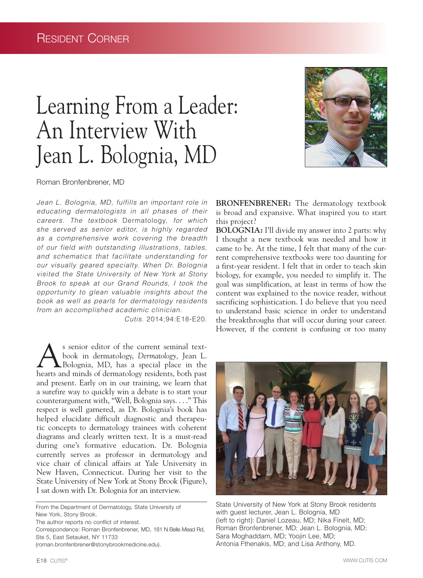# Learning From a Leader: An Interview With Jean L. Bolognia, MD



Roman Bronfenbrener, MD

*Jean L. Bolognia, MD, fulfills an important role in educating dermatologists in all phases of their careers. The textbook* Dermatology, *for which she served as senior editor, is highly regarded as a comprehensive work covering the breadth of our field with outstanding illustrations, tables, and schematics that facilitate understanding for our visually geared specialty. When Dr. Bolognia visited the State University of New York at Stony Brook to speak at our Grand Rounds, I took the opportunity to glean valuable insights about the book as well as pearls for dermatology residents from an accomplished academic clinician.* 

*Cutis.* 2014;94:E18-E20.

As senior editor of the current seminal text-<br>book in dermatology, Dermatology, Jean L.<br>Bolognia, MD, has a special place in the book in dermatology, *Dermatology,* Jean L. hearts and minds of dermatology residents, both past and present. Early on in our training, we learn that a surefire way to quickly win a debate is to start your counterargument with, "Well, Bolognia says. . . ." This respect is well garnered, as Dr. Bolognia's book has helped elucidate difficult diagnostic and therapeutic concepts to dermatology trainees with coherent diagrams and clearly written text. It is a must-read during one's formative education. Dr. Bolognia currently serves as professor in dermatology and vice chair of clinical affairs at Yale University in New Haven, Connecticut. During her visit to the State University of New York at Stony Brook (Figure), I sat down with Dr. Bolognia for an interview.

From the Department of Dermatology, State University of New York, Stony Brook.

The author reports no conflict of interest.

Correspondence: Roman Bronfenbrener, MD, 181 N Belle Mead Rd, Ste 5, East Setauket, NY 11733

(roman.bronfenbrener@stonybrookmedicine.edu).

**BRONFENBRENER:** The dermatology textbook is broad and expansive. What inspired you to start this project?

**BOLOGNIA:** I'll divide my answer into 2 parts: why I thought a new textbook was needed and how it came to be. At the time, I felt that many of the current comprehensive textbooks were too daunting for a first-year resident. I felt that in order to teach skin biology, for example, you needed to simplify it. The goal was simplification, at least in terms of how the content was explained to the novice reader, without sacrificing sophistication. I do believe that you need to understand basic science in order to understand the breakthroughs that will occur during your career. However, if the content is confusing or too many



State University of New York at Stony Brook residents with guest lecturer, Jean L. Bolognia, MD (left to right): Daniel Lozeau, MD; Nika Finelt, MD; Roman Bronfenbrener, MD; Jean L. Bolognia, MD; Sara Moghaddam, MD; Yoojin Lee, MD; Antonia Fthenakis, MD; and Lisa Anthony, MD.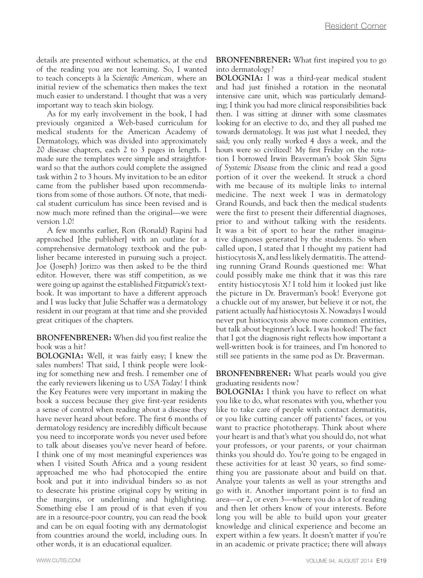details are presented without schematics, at the end of the reading you are not learning. So, I wanted to teach concepts à la *Scientific American,* where an initial review of the schematics then makes the text much easier to understand. I thought that was a very important way to teach skin biology.

As for my early involvement in the book, I had previously organized a Web-based curriculum for medical students for the American Academy of Dermatology, which was divided into approximately 20 disease chapters, each 2 to 3 pages in length. I made sure the templates were simple and straightforward so that the authors could complete the assigned task within 2 to 3 hours. My invitation to be an editor came from the publisher based upon recommendations from some of those authors. Of note, that medical student curriculum has since been revised and is now much more refined than the original—we were version 1.0!

A few months earlier, Ron (Ronald) Rapini had approached [the publisher] with an outline for a comprehensive dermatology textbook and the publisher became interested in pursuing such a project. Joe (Joseph) Jorizzo was then asked to be the third editor. However, there was stiff competition, as we were going up against the established *Fitzpatrick's* textbook. It was important to have a different approach and I was lucky that Julie Schaffer was a dermatology resident in our program at that time and she provided great critiques of the chapters.

#### **BRONFENBRENER:** When did you first realize the book was a hit?

**BOLOGNIA:** Well, it was fairly easy; I knew the sales numbers! That said, I think people were looking for something new and fresh. I remember one of the early reviewers likening us to *USA Today!* I think the Key Features were very important in making the book a success because they give first-year residents a sense of control when reading about a disease they have never heard about before. The first 6 months of dermatology residency are incredibly difficult because you need to incorporate words you never used before to talk about diseases you've never heard of before. I think one of my most meaningful experiences was when I visited South Africa and a young resident approached me who had photocopied the entire book and put it into individual binders so as not to desecrate his pristine original copy by writing in the margins, or underlining and highlighting. Something else I am proud of is that even if you are in a resource-poor country, you can read the book and can be on equal footing with any dermatologist from countries around the world, including ours. In other words, it is an educational equalizer.

**BRONFENBRENER:** What first inspired you to go into dermatology?

**BOLOGNIA:** I was a third-year medical student and had just finished a rotation in the neonatal intensive care unit, which was particularly demanding; I think you had more clinical responsibilities back then. I was sitting at dinner with some classmates looking for an elective to do, and they all pushed me towards dermatology. It was just what I needed, they said; you only really worked 4 days a week, and the hours were so civilized! My first Friday on the rotation I borrowed Irwin Braverman's book *Skin Signs of Systemic Disease* from the clinic and read a good portion of it over the weekend. It struck a chord with me because of its multiple links to internal medicine. The next week I was in dermatology Grand Rounds, and back then the medical students were the first to present their differential diagnoses, prior to and without talking with the residents. It was a bit of sport to hear the rather imaginative diagnoses generated by the students. So when called upon, I stated that I thought my patient had histiocytosis X, and less likely dermatitis. The attending running Grand Rounds questioned me: What could possibly make me think that it was this rare entity histiocytosis X? I told him it looked just like the picture in Dr. Braverman's book! Everyone got a chuckle out of my answer, but believe it or not, the patient actually *had* histiocytosis X. Nowadays I would never put histiocytosis above more common entities, but talk about beginner's luck. I was hooked! The fact that I got the diagnosis right reflects how important a well-written book is for trainees, and I'm honored to still see patients in the same pod as Dr. Braverman.

**BRONFENBRENER:** What pearls would you give graduating residents now?

**BOLOGNIA:** I think you have to reflect on what you like to do, what resonates with you, whether you like to take care of people with contact dermatitis, or you like cutting cancer off patients' faces, or you want to practice phototherapy. Think about where your heart is and that's what you should do, not what your professors, or your parents, or your chairman thinks you should do. You're going to be engaged in these activities for at least 30 years, so find something you are passionate about and build on that. Analyze your talents as well as your strengths and go with it. Another important point is to find an area—or 2, or even 3—where you do a lot of reading and then let others know of your interests. Before long you will be able to build upon your greater knowledge and clinical experience and become an expert within a few years. It doesn't matter if you're in an academic or private practice; there will always